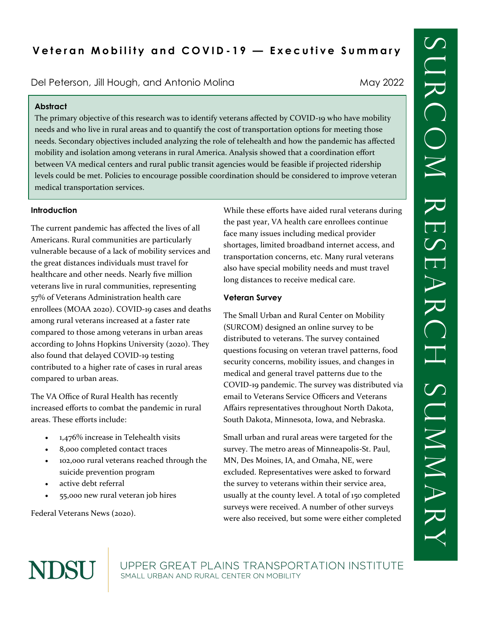Del Peterson, Jill Hough, and Antonio Molina Mandonio May 2022

### **Abstract**

The primary objective of this research was to identify veterans affected by COVID-19 who have mobility needs and who live in rural areas and to quantify the cost of transportation options for meeting those needs. Secondary objectives included analyzing the role of telehealth and how the pandemic has affected mobility and isolation among veterans in rural America. Analysis showed that a coordination effort between VA medical centers and rural public transit agencies would be feasible if projected ridership levels could be met. Policies to encourage possible coordination should be considered to improve veteran medical transportation services.

#### **Introduction**

The current pandemic has affected the lives of all Americans. Rural communities are particularly vulnerable because of a lack of mobility services and the great distances individuals must travel for healthcare and other needs. Nearly five million veterans live in rural communities, representing 57% of Veterans Administration health care enrollees (MOAA 2020). COVID-19 cases and deaths among rural veterans increased at a faster rate compared to those among veterans in urban areas according to Johns Hopkins University (2020). They also found that delayed COVID-19 testing contributed to a higher rate of cases in rural areas compared to urban areas.

The VA Office of Rural Health has recently increased efforts to combat the pandemic in rural areas. These efforts include:

- 1,476% increase in Telehealth visits
- 8,000 completed contact traces
- 102,000 rural veterans reached through the suicide prevention program
- active debt referral
- 55,000 new rural veteran job hires

Federal Veterans News (2020).

NDSU

While these efforts have aided rural veterans during the past year, VA health care enrollees continue face many issues including medical provider shortages, limited broadband internet access, and transportation concerns, etc. Many rural veterans also have special mobility needs and must travel long distances to receive medical care.

### **Veteran Survey**

The Small Urban and Rural Center on Mobility (SURCOM) designed an online survey to be distributed to veterans. The survey contained questions focusing on veteran travel patterns, food security concerns, mobility issues, and changes in medical and general travel patterns due to the COVID-19 pandemic. The survey was distributed via email to Veterans Service Officers and Veterans Affairs representatives throughout North Dakota, South Dakota, Minnesota, Iowa, and Nebraska.

Small urban and rural areas were targeted for the survey. The metro areas of Minneapolis-St. Paul, MN, Des Moines, IA, and Omaha, NE, were excluded. Representatives were asked to forward the survey to veterans within their service area, usually at the county level. A total of 150 completed surveys were received. A number of other surveys were also received, but some were either completed

UPPER GREAT PLAINS TRANSPORTATION INSTITUTE SMALL URBAN AND RURAL CENTER ON MOBILITY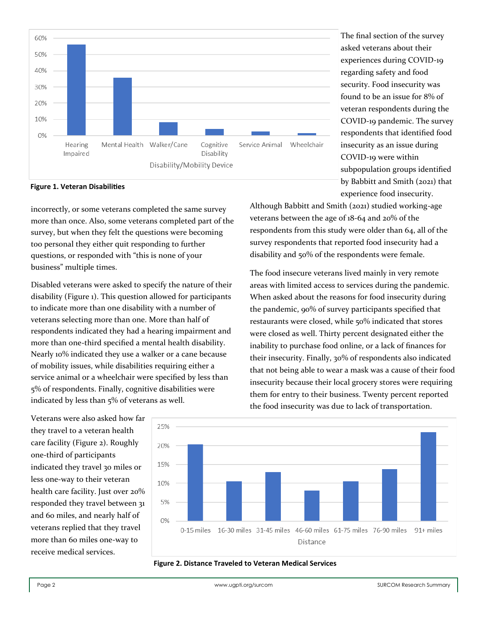

**Figure 1. Veteran Disabilities**

incorrectly, or some veterans completed the same survey more than once. Also, some veterans completed part of the survey, but when they felt the questions were becoming too personal they either quit responding to further questions, or responded with "this is none of your business" multiple times.

Disabled veterans were asked to specify the nature of their disability (Figure 1). This question allowed for participants to indicate more than one disability with a number of veterans selecting more than one. More than half of respondents indicated they had a hearing impairment and more than one-third specified a mental health disability. Nearly 10% indicated they use a walker or a cane because of mobility issues, while disabilities requiring either a service animal or a wheelchair were specified by less than 5% of respondents. Finally, cognitive disabilities were indicated by less than 5% of veterans as well.

The final section of the survey asked veterans about their experiences during COVID-19 regarding safety and food security. Food insecurity was found to be an issue for 8% of veteran respondents during the COVID-19 pandemic. The survey respondents that identified food insecurity as an issue during COVID-19 were within subpopulation groups identified by Babbitt and Smith (2021) that experience food insecurity.

Although Babbitt and Smith (2021) studied working-age veterans between the age of 18-64 and 20% of the respondents from this study were older than 64, all of the survey respondents that reported food insecurity had a disability and 50% of the respondents were female.

The food insecure veterans lived mainly in very remote areas with limited access to services during the pandemic. When asked about the reasons for food insecurity during the pandemic, 90% of survey participants specified that restaurants were closed, while 50% indicated that stores were closed as well. Thirty percent designated either the inability to purchase food online, or a lack of finances for their insecurity. Finally, 30% of respondents also indicated that not being able to wear a mask was a cause of their food insecurity because their local grocery stores were requiring them for entry to their business. Twenty percent reported the food insecurity was due to lack of transportation.

Veterans were also asked how far they travel to a veteran health care facility (Figure 2). Roughly one-third of participants indicated they travel 30 miles or less one-way to their veteran health care facility. Just over 20% responded they travel between 31 and 60 miles, and nearly half of veterans replied that they travel more than 60 miles one-way to receive medical services.



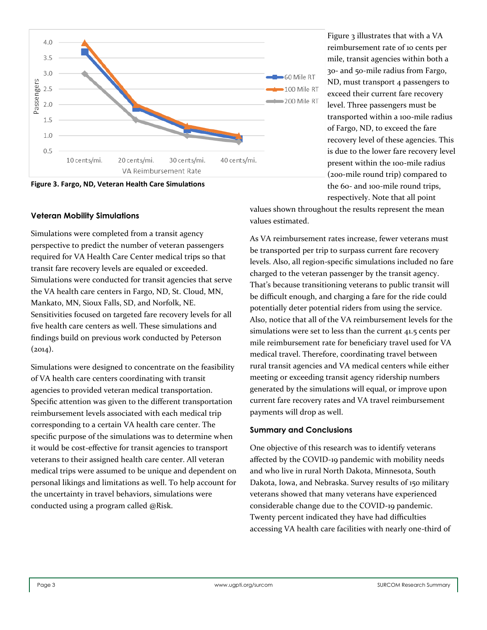

**Figure 3. Fargo, ND, Veteran Health Care Simulations**

### **Veteran Mobility Simulations**

Simulations were completed from a transit agency perspective to predict the number of veteran passengers required for VA Health Care Center medical trips so that transit fare recovery levels are equaled or exceeded. Simulations were conducted for transit agencies that serve the VA health care centers in Fargo, ND, St. Cloud, MN, Mankato, MN, Sioux Falls, SD, and Norfolk, NE. Sensitivities focused on targeted fare recovery levels for all five health care centers as well. These simulations and findings build on previous work conducted by Peterson  $(2014).$ 

Simulations were designed to concentrate on the feasibility of VA health care centers coordinating with transit agencies to provided veteran medical transportation. Specific attention was given to the different transportation reimbursement levels associated with each medical trip corresponding to a certain VA health care center. The specific purpose of the simulations was to determine when it would be cost-effective for transit agencies to transport veterans to their assigned health care center. All veteran medical trips were assumed to be unique and dependent on personal likings and limitations as well. To help account for the uncertainty in travel behaviors, simulations were conducted using a program called @Risk.

Figure 3 illustrates that with a VA reimbursement rate of 10 cents per mile, transit agencies within both a 30- and 50-mile radius from Fargo, ND, must transport 4 passengers to exceed their current fare recovery level. Three passengers must be transported within a 100-mile radius of Fargo, ND, to exceed the fare recovery level of these agencies. This is due to the lower fare recovery level present within the 100-mile radius (200-mile round trip) compared to the 60- and 100-mile round trips, respectively. Note that all point

values shown throughout the results represent the mean values estimated.

As VA reimbursement rates increase, fewer veterans must be transported per trip to surpass current fare recovery levels. Also, all region-specific simulations included no fare charged to the veteran passenger by the transit agency. That's because transitioning veterans to public transit will be difficult enough, and charging a fare for the ride could potentially deter potential riders from using the service. Also, notice that all of the VA reimbursement levels for the simulations were set to less than the current 41.5 cents per mile reimbursement rate for beneficiary travel used for VA medical travel. Therefore, coordinating travel between rural transit agencies and VA medical centers while either meeting or exceeding transit agency ridership numbers generated by the simulations will equal, or improve upon current fare recovery rates and VA travel reimbursement payments will drop as well.

#### **Summary and Conclusions**

One objective of this research was to identify veterans affected by the COVID-19 pandemic with mobility needs and who live in rural North Dakota, Minnesota, South Dakota, Iowa, and Nebraska. Survey results of 150 military veterans showed that many veterans have experienced considerable change due to the COVID-19 pandemic. Twenty percent indicated they have had difficulties accessing VA health care facilities with nearly one-third of